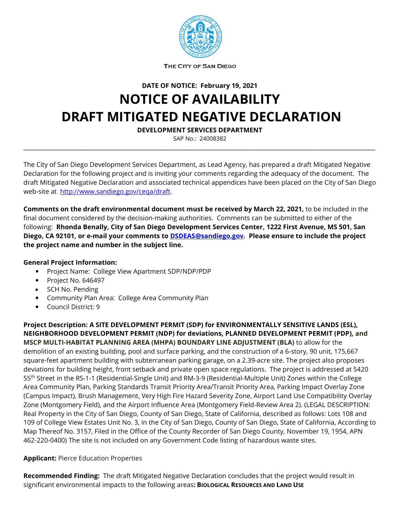

THE CITY OF SAN DIEGO

**DATE OF NOTICE: February 19, 2021**

## **NOTICE OF AVAILABILITY DRAFT MITIGATED NEGATIVE DECLARATION**

**DEVELOPMENT SERVICES DEPARTMENT**

SAP No.: 24008382 **\_\_\_\_\_\_\_\_\_\_\_\_\_\_\_\_\_\_\_\_\_\_\_\_\_\_\_\_\_\_\_\_\_\_\_\_\_\_\_\_\_\_\_\_\_\_\_\_\_\_\_\_\_\_\_\_\_\_\_\_\_\_\_\_\_\_\_\_\_\_\_\_\_\_\_\_\_\_\_\_\_\_\_\_\_\_\_\_\_\_\_\_\_\_\_\_\_\_\_\_\_\_\_\_\_\_\_\_\_\_\_\_\_\_\_\_\_\_\_\_\_\_\_\_\_\_\_\_\_\_\_**

The City of San Diego Development Services Department, as Lead Agency, has prepared a draft Mitigated Negative Declaration for the following project and is inviting your comments regarding the adequacy of the document. The draft Mitigated Negative Declaration and associated technical appendices have been placed on the City of San Diego web-site at [http://www.sandiego.gov/ceqa/draft.](http://www.sandiego.gov/ceqa/draft)

**Comments on the draft environmental document must be received by March 22, 2021,** to be included in the final document considered by the decision-making authorities. Comments can be submitted to either of the following: **Rhonda Benally, City of San Diego Development Services Center, 1222 First Avenue, MS 501, San Diego, CA 92101, or e-mail your comments t[o DSDEAS@sandiego.gov.](mailto:DSDEAS@sandiego.gov) Please ensure to include the project the project name and number in the subject line.**

## **General Project Information:**

- Project Name: College View Apartment SDP/NDP/PDP
- Project No. 646497
- SCH No. Pending
- Community Plan Area: College Area Community Plan
- Council District: 9

**Project Description: A SITE DEVELOPMENT PERMIT (SDP) for ENVIRONMENTALLY SENSITIVE LANDS (ESL), NEIGHBORHOOD DEVELOPMENT PERMIT (NDP) for deviations, PLANNED DEVELOPMENT PERMIT (PDP), and MSCP MULTI-HABITAT PLANNING AREA (MHPA) BOUNDARY LINE ADJUSTMENT (BLA)** to allow for the demolition of an existing building, pool and surface parking, and the construction of a 6-story, 90 unit, 175,667 square-feet apartment building with subterranean parking garage, on a 2.39-acre site. The project also proposes deviations for building height, front setback and private open space regulations. The project is addressed at 5420 55th Street in the RS-1-1 (Residential-Single Unit) and RM-3-9 (Residential-Multiple Unit) Zones within the College Area Community Plan, Parking Standards Transit Priority Area/Transit Priority Area, Parking Impact Overlay Zone (Campus Impact), Brush Management, Very High Fire Hazard Severity Zone, Airport Land Use Compatibility Overlay Zone (Montgomery Field), and the Airport Influence Area (Montgomery Field-Review Area 2). (LEGAL DESCRIPTION: Real Property in the City of San Diego, County of San Diego, State of California, described as follows: Lots 108 and 109 of College View Estates Unit No. 3, in the City of San Diego, County of San Diego, State of California, According to Map Thereof No. 3157, Filed in the Office of the County Recorder of San Diego County, November 19, 1954, APN 462-220-0400) The site is not included on any Government Code listing of hazardous waste sites.

## **Applicant:** Pierce Education Properties

**Recommended Finding:** The draft Mitigated Negative Declaration concludes that the project would result in significant environmental impacts to the following areas**: BIOLOGICAL RESOURCES AND LAND USE**